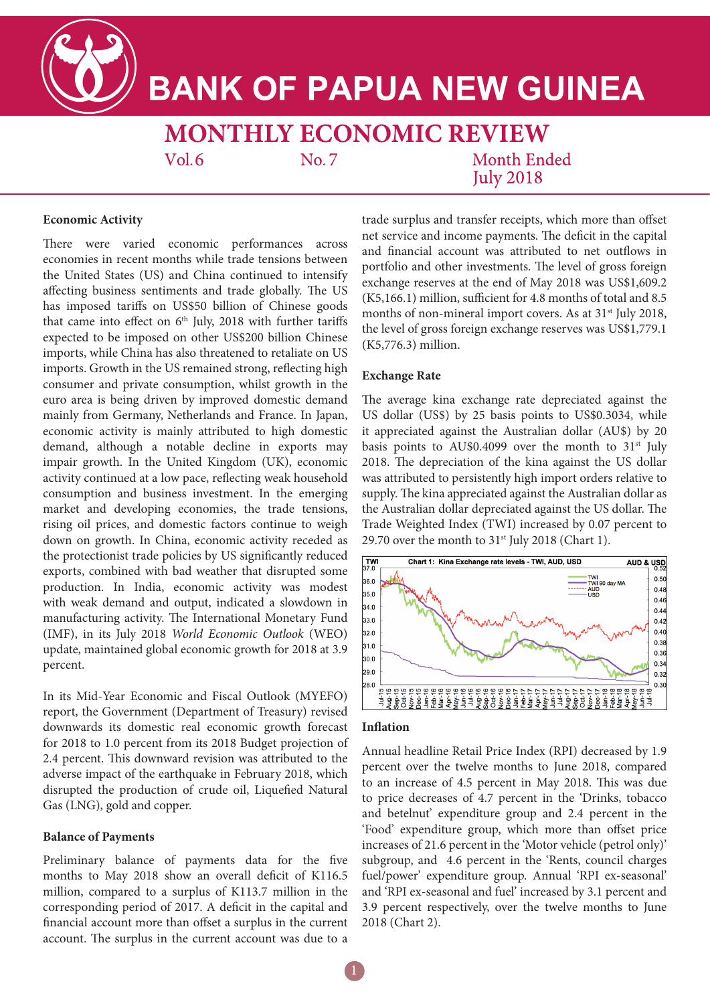

# **BANK OF PAPUA NEW GUINEA**

**MONTHLY ECONOMIC REVIEW** 

 $Vol.6$ 

No. 7

**Month Ended July 2018** 

### **Economic Activity**

There were varied economic performances across economies in recent months while trade tensions between the United States (US) and China continued to intensify affecting business sentiments and trade globally. The US has imposed tariffs on US\$50 billion of Chinese goods that came into effect on  $6<sup>th</sup>$  July, 2018 with further tariffs expected to be imposed on other US\$200 billion Chinese imports, while China has also threatened to retaliate on US imports. Growth in the US remained strong, reflecting high consumer and private consumption, whilst growth in the euro area is being driven by improved domestic demand mainly from Germany, Netherlands and France. In Japan, economic activity is mainly attributed to high domestic demand, although a notable decline in exports may impair growth. In the United Kingdom (UK), economic activity continued at a low pace, reflecting weak household consumption and business investment. In the emerging market and developing economies, the trade tensions, rising oil prices, and domestic factors continue to weigh down on growth. In China, economic activity receded as the protectionist trade policies by US significantly reduced exports, combined with bad weather that disrupted some production. In India, economic activity was modest with weak demand and output, indicated a slowdown in manufacturing activity. The International Monetary Fund (IMF), in its July 2018 *World Economic Outlook* (WEO) update, maintained global economic growth for 2018 at 3.9 percent.

In its Mid-Year Economic and Fiscal Outlook (MYEFO) report, the Government (Department of Treasury) revised downwards its domestic real economic growth forecast for 2018 to 1.0 percent from its 2018 Budget projection of 2.4 percent. This downward revision was attributed to the adverse impact of the earthquake in February 2018, which disrupted the production of crude oil, Liquefied Natural Gas (LNG), gold and copper.

#### **Balance of Payments**

Preliminary balance of payments data for the five months to May 2018 show an overall deficit of K116.5 million, compared to a surplus of K113.7 million in the corresponding period of 2017. A deficit in the capital and financial account more than offset a surplus in the current account. The surplus in the current account was due to a trade surplus and transfer receipts, which more than offset net service and income payments. The deficit in the capital and financial account was attributed to net outflows in portfolio and other investments. The level of gross foreign exchange reserves at the end of May 2018 was US\$1,609.2 (K5,166.1) million, sufficient for 4.8 months of total and 8.5 months of non-mineral import covers. As at 31<sup>st</sup> July 2018, the level of gross foreign exchange reserves was US\$1,779.1 (K5,776.3) million.

## **Exchange Rate**

The average kina exchange rate depreciated against the US dollar (US\$) by 25 basis points to US\$0.3034, while it appreciated against the Australian dollar (AU\$) by 20 basis points to AU\$0.4099 over the month to 31<sup>st</sup> July 2018. The depreciation of the kina against the US dollar was attributed to persistently high import orders relative to supply. The kina appreciated against the Australian dollar as the Australian dollar depreciated against the US dollar. The Trade Weighted Index (TWI) increased by 0.07 percent to 29.70 over the month to  $31<sup>st</sup>$  July 2018 (Chart 1).



#### **Inflation**

Annual headline Retail Price Index (RPI) decreased by 1.9 percent over the twelve months to June 2018, compared to an increase of 4.5 percent in May 2018. This was due to price decreases of 4.7 percent in the 'Drinks, tobacco and betelnut' expenditure group and 2.4 percent in the 'Food' expenditure group, which more than offset price increases of 21.6 percent in the 'Motor vehicle (petrol only)' subgroup, and 4.6 percent in the 'Rents, council charges fuel/power' expenditure group. Annual 'RPI ex-seasonal' and 'RPI ex-seasonal and fuel' increased by 3.1 percent and 3.9 percent respectively, over the twelve months to June 2018 (Chart 2).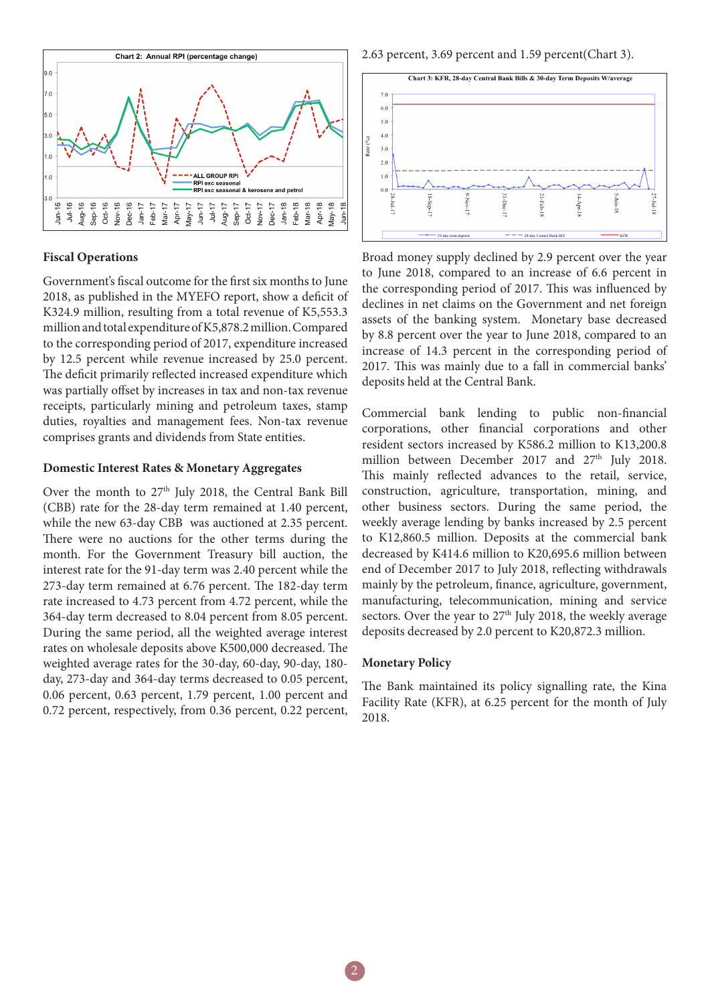

### **Fiscal Operations**

Government's fiscal outcome for the first six months to June 2018, as published in the MYEFO report, show a deficit of K324.9 million, resulting from a total revenue of K5,553.3 million and total expenditure of K5,878.2 million. Compared to the corresponding period of 2017, expenditure increased by 12.5 percent while revenue increased by 25.0 percent. The deficit primarily reflected increased expenditure which was partially offset by increases in tax and non-tax revenue receipts, particularly mining and petroleum taxes, stamp duties, royalties and management fees. Non-tax revenue comprises grants and dividends from State entities.

#### **Domestic Interest Rates & Monetary Aggregates**

Over the month to 27<sup>th</sup> July 2018, the Central Bank Bill (CBB) rate for the 28-day term remained at 1.40 percent, while the new 63-day CBB was auctioned at 2.35 percent. There were no auctions for the other terms during the month. For the Government Treasury bill auction, the interest rate for the 91-day term was 2.40 percent while the 273-day term remained at 6.76 percent. The 182-day term rate increased to 4.73 percent from 4.72 percent, while the 364-day term decreased to 8.04 percent from 8.05 percent. During the same period, all the weighted average interest rates on wholesale deposits above K500,000 decreased. The weighted average rates for the 30-day, 60-day, 90-day, 180 day, 273-day and 364-day terms decreased to 0.05 percent, 0.06 percent, 0.63 percent, 1.79 percent, 1.00 percent and 0.72 percent, respectively, from 0.36 percent, 0.22 percent,

2.63 percent, 3.69 percent and 1.59 percent(Chart 3).



Broad money supply declined by 2.9 percent over the year to June 2018, compared to an increase of 6.6 percent in the corresponding period of 2017. This was influenced by declines in net claims on the Government and net foreign assets of the banking system. Monetary base decreased by 8.8 percent over the year to June 2018, compared to an increase of 14.3 percent in the corresponding period of 2017. This was mainly due to a fall in commercial banks' deposits held at the Central Bank.

Commercial bank lending to public non-financial corporations, other financial corporations and other resident sectors increased by K586.2 million to K13,200.8 million between December 2017 and 27<sup>th</sup> July 2018. This mainly reflected advances to the retail, service, construction, agriculture, transportation, mining, and other business sectors. During the same period, the weekly average lending by banks increased by 2.5 percent to K12,860.5 million. Deposits at the commercial bank decreased by K414.6 million to K20,695.6 million between end of December 2017 to July 2018, reflecting withdrawals mainly by the petroleum, finance, agriculture, government, manufacturing, telecommunication, mining and service sectors. Over the year to 27<sup>th</sup> July 2018, the weekly average deposits decreased by 2.0 percent to K20,872.3 million.

#### **Monetary Policy**

The Bank maintained its policy signalling rate, the Kina Facility Rate (KFR), at 6.25 percent for the month of July 2018.